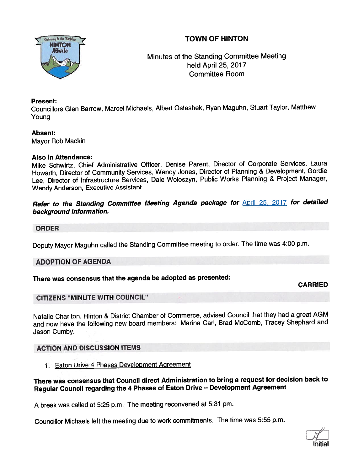# TOWN OF HINTON



Minutes of the Standing Committee Meeting held April 25, 2017 Committee Room

#### Present:

Councillors Glen Barrow, Marcel Michaels, Albert Ostashek, Ryan Maguhn, Stuart Taylor, Matthew Young

#### Absent:

Mayor Rob Mackin

#### Also in Attendance:

Mike Schwirtz, Chief Administrative Officer, Denise Parent, Director of Corporate Services, Laura Howarth, Director of Community Services, Wendy Jones, Director of Planning & Development, Gordie Lee, Director of Infrastructure Services, Dale Woloszyn, Public Works Planning & Project Manager, Wendy Anderson, Executive Assistant

## Refer to the Standing Committee Meeting Agenda package for **April 25, 2017** for detailed background information.

#### ORDER

Deputy Mayor Maguhn called the Standing Committee meeting to order. The time was 4:00 p.m.

## ADOPTION OF AGENDA

## There was consensus that the agenda be adopted as presented:

CARRIED

## CITIZENS "MINUTE WITH COUNCIL"

Natalie Charlton, Hinton & District Chamber of Commerce, advised Council that they had <sup>a</sup> grea<sup>t</sup> AGM and now have the following new board members: Marina Carl, Brad McComb, Tracey Shephard and Jason Cumby.

## ACTION AND DISCUSSION ITEMS

1 Eaton Drive 4 Phases Development Agreement

#### There was consensus that Council direct Administration to bring <sup>a</sup> reques<sup>t</sup> for decision back to Regular Council regarding the <sup>4</sup> Phases of Eaton Drive — Development Agreement

<sup>A</sup> break was called at 5:25 p.m. The meeting reconvened at 5:31 pm.

Councillor Michaels left the meeting due to work commitments. The time was 5:55 p.m.